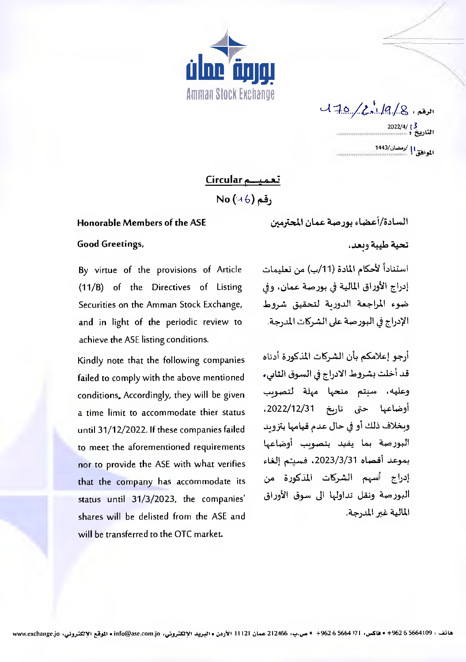

 $120 / 2.19 / 8.14$ الموافق! | /رمضان/1443

## تعميد Circular

 $No(46)$  , قم

## Honorable Members of the ASE

**Good Greetings,** 

By virtue of the provisions of Article (11/B) of the Directives of Listing Securities on the Amman Stock Exchange, and in light of the periodic review to achieve the ASE listing conditions.

Kindly note that the following companies failed to comply with the above mentioned conditions, Accordingly, they will be given a time limit to accommodate thier status until 31/12/2022. If these companies failed to meet the aforementioned requirements nor to provide the ASE with what verifies that the company has accommodate its status until 31/3/2023, the companies' shares will be delisted from the ASE and will be transferred to the OTC market.

السادة/أعضاء بورصة عمان المحترمين تحية طيبة وبعد،

استناداً لأحكام المادة (11/ب) من تعليمات إدراج الأوراق المالية في بورصة عمان، وفي ضوء المراجعة الدورية لتحقيق شروط الإدراج في البورصة على الشركات المدرجة.

أرجو إعلامكم بأن الشركات المذكورة أدناه قد أخلت بشروط الادراج في السوق الثابيء وعليه، سيتم منحها مهلة لتصويب أوضاعها حتى تاريخ 2022/12/31، وبخلاف ذلك أو في حال عدم قيامها بتزويد البورصة بما يفيد بتصوبب أوضاعها بموعد أقصاه 3/3/3/31، فسيتم إلغاء إدراج أسهم الشركات المذكورة من البورصة ونقل تداولها الى سوق الأوراق المالية غير المدرجة.